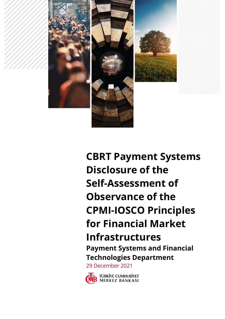

**CBRT Payment Systems Disclosure of the Self-Assessment of Observance of the CPMI-IOSCO Principles for Financial Market Infrastructures Payment Systems and Financial Technologies Department**

29 December 2021

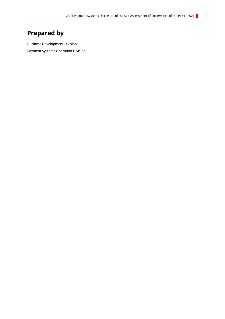# <span id="page-1-0"></span>**Prepared by**

Business Development Division Payment Systems Operation Division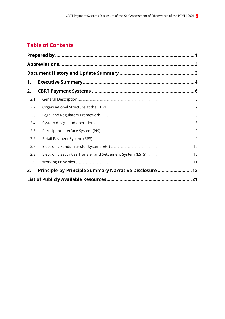### **Table of Contents**

| 1.  |                                                         |  |
|-----|---------------------------------------------------------|--|
| 2.  |                                                         |  |
| 2.1 |                                                         |  |
| 2.2 |                                                         |  |
| 2.3 |                                                         |  |
| 2.4 |                                                         |  |
| 2.5 |                                                         |  |
| 2.6 |                                                         |  |
| 2.7 |                                                         |  |
| 2.8 |                                                         |  |
| 2.9 |                                                         |  |
| 3.  | Principle-by-Principle Summary Narrative Disclosure  12 |  |
|     |                                                         |  |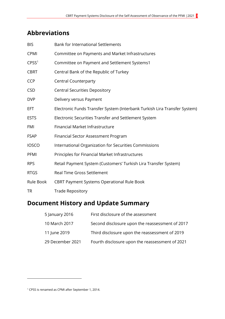## <span id="page-3-0"></span>**Abbreviations**

| <b>BIS</b>        | <b>Bank for International Settlements</b>                                 |
|-------------------|---------------------------------------------------------------------------|
| CPMI              | Committee on Payments and Market Infrastructures                          |
| CPSS <sup>1</sup> | Committee on Payment and Settlement Systems1                              |
| <b>CBRT</b>       | Central Bank of the Republic of Turkey                                    |
| <b>CCP</b>        | <b>Central Counterparty</b>                                               |
| <b>CSD</b>        | <b>Central Securities Depository</b>                                      |
| <b>DVP</b>        | Delivery versus Payment                                                   |
| <b>EFT</b>        | Electronic Funds Transfer System (Interbank Turkish Lira Transfer System) |
| <b>ESTS</b>       | Electronic Securities Transfer and Settlement System                      |
| <b>FMI</b>        | Financial Market Infrastructure                                           |
| <b>FSAP</b>       | Financial Sector Assessment Program                                       |
| <b>IOSCO</b>      | International Organization for Securities Commissions                     |
| PFMI              | Principles for Financial Market Infrastructures                           |
| <b>RPS</b>        | Retail Payment System (Customers' Turkish Lira Transfer System)           |
| <b>RTGS</b>       | <b>Real Time Gross Settlement</b>                                         |
| Rule Book         | <b>CBRT Payment Systems Operational Rule Book</b>                         |
| <b>TR</b>         | <b>Trade Repository</b>                                                   |
|                   |                                                                           |

## <span id="page-3-1"></span>**Document History and Update Summary**

| 5 January 2016   | First disclosure of the assessment              |
|------------------|-------------------------------------------------|
| 10 March 2017    | Second disclosure upon the reassessment of 2017 |
| 11 June 2019     | Third disclosure upon the reassessment of 2019  |
| 29 December 2021 | Fourth disclosure upon the reassessment of 2021 |

-

<sup>1</sup> CPSS is renamed as CPMI after September 1, 2014.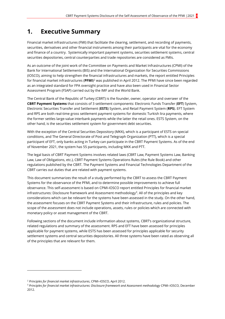### <span id="page-4-0"></span>**1. Executive Summary**

Financial market infrastructures (FMI) that facilitate the clearing, settlement, and recording of payments, securities, derivatives and other financial instruments among their participants are vital for the economy and finance of a country. Systemically important payment systems, securities settlement systems, central securities depositories, central counterparties and trade repositories are considered as FMIs.

As an outcome of the joint work of the Committee on Payments and Market Infrastructures (CPMI) of the Bank for International Settlements (BIS) and the International Organization for Securities Commissions (IOSCO), aiming to help strengthen the financial infrastructures and markets, the report entitled Principles for financial market infrastructures (**PFMI**)<sup>2</sup> was published in April 2012. The PFMI have since been regarded as an integrated standard for FPA oversight practice and have also been used in Financial Sector Assessment Program (FSAP) carried out by the IMF and the World Bank.

The Central Bank of the Republic of Turkey (CBRT) is the founder, owner, operator and overseer of the **CBRT Payment Systems** that consists of 3 settlement components: Electronic Funds Transfer (**EFT**) System, Electronic Securities Transfer and Settlement (**ESTS**) System, and Retail Payment System (**RPS**). EFT System and RPS are both real-time gross settlement payment systems for domestic Turkish lira payments, where the former settles large-value interbank payments while the latter the retail ones. ESTS System, on the other hand, is the securities settlement system for government debt securities.

With the exception of the Central Securities Depository (MKK), which is a participant of ESTS on special conditions, and The General Directorate of Post and Telegraph Organization (PTT), which is a special participant of EFT, only banks acting in Turkey can participate in the CBRT Payment Systems. As of the end of November 2021, the system has 55 participants, including MKK and PTT.

The legal basis of CBRT Payment Systems involves related laws (CBRT Law, Payment Systems Law, Banking Law, Law of Obligations, etc.), CBRT Payment Systems Operations Rules (the Rule Book) and other regulations published by the CBRT. The Payment Systems and Financial Technologies Department of the CBRT carries out duties that are related with payment systems.

This document summarizes the result of a study performed by the CBRT to assess the CBRT Payment Systems for the observance of the PFMI, and to determine possible improvements to achieve full observance. This self-assessment is based on CPMI-IOSCO report entitled Principles for financial market infrastructures: Disclosure framework and Assessment methodology<sup>3</sup> . All of the principles and key considerations which can be relevant for the systems have been assessed in the study. On the other hand, the assessment focuses on the CBRT Payment Systems and their infrastructure, rules and policies. The scope of the assessment does not include operations, assets, rules or policies which are connected with monetary policy or asset management of the CBRT.

Following sections of the document include information about systems, CBRT's organizational structure, related regulations and summary of the assessment. RPS and EFT have been assessed for principles applicable for payment systems, while ESTS has been assessed for principles applicable for security settlement systems and central securities depositories. All three systems have been rated as observing all of the principles that are relevant for them.

-

<sup>2</sup> *Principles for financial market infrastructures*, CPMI–IOSCO, April 2012.

<sup>3</sup> *Principles for financial market infrastructures: Disclosure framework and Assessment methodology* CPMI–IOSCO, December 2012.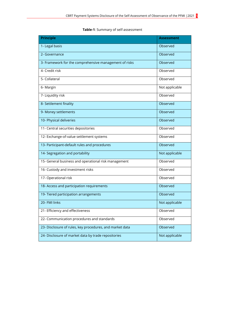| <b>Principle</b>                                         | <b>Assessment</b> |
|----------------------------------------------------------|-------------------|
| 1- Legal basis                                           | Observed          |
| 2- Governance                                            | Observed          |
| 3- Framework for the comprehensive management of risks   | Observed          |
| 4- Credit risk                                           | Observed          |
| 5- Collateral                                            | Observed          |
| 6- Margin                                                | Not applicable    |
| 7- Liquidity risk                                        | Observed          |
| 8- Settlement finality                                   | Observed          |
| 9- Money settlements                                     | Observed          |
| 10- Physical deliveries                                  | Observed          |
| 11- Central securities depositories                      | Observed          |
| 12- Exchange-of-value settlement systems                 | Observed          |
| 13- Participant-default rules and procedures             | Observed          |
| 14- Segregation and portability                          | Not applicable    |
| 15- General business and operational risk management     | Observed          |
| 16- Custody and investment risks                         | Observed          |
| 17- Operational risk                                     | Observed          |
| 18- Access and participation requirements                | Observed          |
| 19- Tiered participation arrangements                    | Observed          |
| 20- FMI links                                            | Not applicable    |
| 21- Efficiency and effectiveness                         | Observed          |
| 22- Communication procedures and standards               | Observed          |
| 23- Disclosure of rules, key procedures, and market data | Observed          |
| 24- Disclosure of market data by trade repositories      | Not applicable    |

**Table-1**: Summary of self-assessment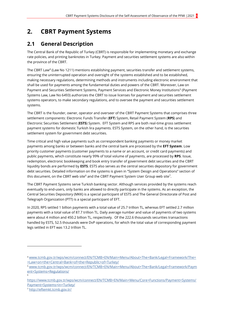### <span id="page-6-0"></span>**2. CBRT Payment Systems**

### <span id="page-6-1"></span>**2.1 General Description**

The Central Bank of the Republic of Turkey (CBRT) is responsible for implementing monetary and exchange rate policies, and printing banknotes in Turkey. Payment and securities settlement systems are also within the province of the CBRT.

The CBRT Law<sup>4</sup> (Law No 1211) mentions establishing payment, securities transfer and settlement systems, ensuring the uninterrupted operation and oversight of the systems established and to be established, making necessary regulations, determining methods and instruments including electronic environment that shall be used for payments among the fundamental duties and powers of the CBRT. Moreover, Law on Payment and Securities Settlement Systems, Payment Services and Electronic Money Institutions<sup>5</sup> (Payment Systems Law, Law No 6493) authorizes the CBRT to issue licenses for payment and securities settlement systems operators, to make secondary regulations, and to oversee the payment and securities settlement systems.

The CBRT is the founder, owner, operator and overseer of the CBRT Payment Systems that comprises three settlement components: Electronic Funds Transfer (**EFT**) System, Retail Payment System (**RPS**) and Electronic Securities Settlement (**ESTS**) System. EFT System and RPS are both real-time gross settlement payment systems for domestic Turkish lira payments. ESTS System, on the other hand, is the securities settlement system for government debt securities.

Time critical and high value payments such as correspondent banking payments or money market payments among banks or between banks and the central bank are processed by the **EFT System**. Low priority customer payments (customer payments to a name or an account, or credit card payments) and public payments, which constitute nearly 99% of total volume of payments, are processed by **RPS**. Issue, redemption, electronic bookkeeping and book entry transfer of government debt securities and the CBRT liquidity bonds are performed by **ESTS**. ESTS also serves as the central securities depository for government debt securities. Detailed information on the systems is given in "System Design and Operations" section of this document, on the CBRT web site $^6$  and the CBRT Payment System User Group web site $^7\!$ .

The CBRT Payment Systems serve Turkish banking sector. Although services provided by the systems reach eventually to end-users, only banks are allowed to directly participate in the systems. As an exception, the Central Securities Depository (MKK) is a special participant of ESTS and The General Directorate of Post and Telegraph Organization (PTT) is a special participant of EFT.

In 2020, RPS settled 1 billion payments with a total value of 25.7 trillion TL, whereas EFT settled 2.7 million payments with a total value of 87.7 trillion TL. Daily average number and value of payments of two systems were about 4 million and 450.2 billion TL, respectively. Of the 222.6 thousands securities transactions handled by ESTS, 52.5 thousands were DvP operations, for which the total value of corresponding payment legs settled in EFT was 13.2 trillion TL.

1

6

<sup>4</sup> [www.tcmb.gov.tr/wps/wcm/connect/EN/TCMB+EN/Main+Menu/About+The+Bank/Legal+Framework/The+](http://www.tcmb.gov.tr/wps/wcm/connect/EN/TCMB+EN/Main+Menu/About+The+Bank/Legal+Framework/The++Law+on+the+Central+Bank+of+the+Republic+of+Turkey/) [+Law+on+the+Central+Bank+of+the+Republic+of+Turkey/](http://www.tcmb.gov.tr/wps/wcm/connect/EN/TCMB+EN/Main+Menu/About+The+Bank/Legal+Framework/The++Law+on+the+Central+Bank+of+the+Republic+of+Turkey/)

<sup>5</sup> [www.tcmb.gov.tr/wps/wcm/connect/EN/TCMB+EN/Main+Menu/About+The+Bank/Legal+Framework/Paym](http://www.tcmb.gov.tr/wps/wcm/connect/EN/TCMB+EN/Main+Menu/About+The+Bank/Legal+Framework/Payment+Systems+Regulations/) [ent+Systems+Regulations/](http://www.tcmb.gov.tr/wps/wcm/connect/EN/TCMB+EN/Main+Menu/About+The+Bank/Legal+Framework/Payment+Systems+Regulations/)

https://www.tcmb.gov.tr/wps/wcm/connect/EN/TCMB+EN/Main+Menu/Core+Functions/Payment+Systems/ Payment+Systems+in+Turkey/

<sup>7</sup> <http://eftemkt.tcmb.gov.tr/>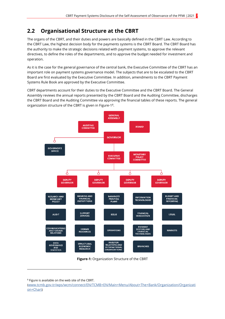### <span id="page-7-0"></span>**2.2 Organisational Structure at the CBRT**

The organs of the CBRT, and their duties and powers are basically defined in the CBRT Law. According to the CBRT Law, the highest decision body for the payments systems is the CBRT Board. The CBRT Board has the authority to make the strategic decisions related with payment systems, to approve the relevant directives, to define the roles of the departments, and to approve the budget needed for investment and operation.

As it is the case for the general governance of the central bank, the Executive Committee of the CBRT has an important role on payment systems governance model. The subjects that are to be escalated to the CBRT Board are first evaluated by the Executive Committee. In addition, amendments to the CBRT Payment Systems Rule Book are approved by the Executive Committee.

CBRT departments account for their duties to the Executive Committee and the CBRT Board. The General Assembly reviews the annual reports presented by the CBRT Board and the Auditing Committee, discharges the CBRT Board and the Auditing Committee via approving the financial tables of these reports. The general organization structure of the CBRT is given in Figure-1 8 .



**Figure-1:** Organization Structure of the CBRT

<sup>8</sup> Figure is available on the web site of the CBRT.

1

([www.tcmb.gov.tr/wps/wcm/connect/EN/TCMB+EN/Main+Menu/About+The+Bank/Organization/Organizati](http://www.tcmb.gov.tr/wps/wcm/connect/EN/TCMB+EN/Main+Menu/About+The+Bank/Organization/Organization+Chart) [on+Chart](http://www.tcmb.gov.tr/wps/wcm/connect/EN/TCMB+EN/Main+Menu/About+The+Bank/Organization/Organization+Chart))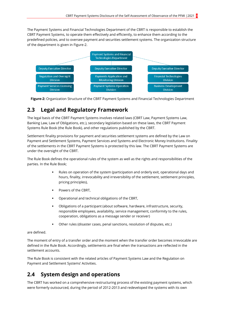The Payment Systems and Financial Technologies Department of the CBRT is responsible to establish the CBRT Payment Systems, to operate them effectively and efficiently, to enhance them according to the predefined policies, and to oversee payment and securities settlement systems. The organization structure of the department is given in Figure-2.



**Figure-2:** Organization Structure of the CBRT Payment Systems and Financial Technologies Department

#### <span id="page-8-0"></span>**2.3 Legal and Regulatory Framework**

The legal basis of the CBRT Payment Systems involves related laws (CBRT Law, Payment Systems Law, Banking Law, Law of Obligations, etc.), secondary legislation based on these laws, the CBRT Payment Systems Rule Book (the Rule Book), and other regulations published by the CBRT.

Settlement finality provisions for payment and securities settlement systems are defined by the Law on Payment and Settlement Systems, Payment Services and Systems and Electronic Money Institutions. Finality of the settlements in the CBRT Payment Systems is protected by this law. The CBRT Payment Systems are under the oversight of the CBRT.

The Rule Book defines the operational rules of the system as well as the rights and responsibilities of the parties. In the Rule Book;

- Rules on operation of the system (participation and orderly exit, operational days and hours, finality, irrevocability and irreversibility of the settlement, settlement principles, pricing principles),
- Powers of the CBRT,
- Operational and technical obligations of the CBRT,
- Obligations of a participant (about software, hardware, infrastructure, security, responsible employees, availability, service management, conformity to the rules, cooperation, obligations as a message sender or receiver)
- Other rules (disaster cases, penal sanctions, resolution of disputes, etc.)

are defined.

The moment of entry of a transfer order and the moment when the transfer order becomes irrevocable are defined in the Rule Book. Accordingly, settlements are final when the transactions are reflected in the settlement accounts.

The Rule Book is consistent with the related articles of Payment Systems Law and the Regulation on Payment and Settlement Systems' Activities.

### <span id="page-8-1"></span>**2.4 System design and operations**

The CBRT has worked on a comprehensive restructuring process of the existing payment systems, which were formerly outsourced, during the period of 2012-2013 and redeveloped the systems with its own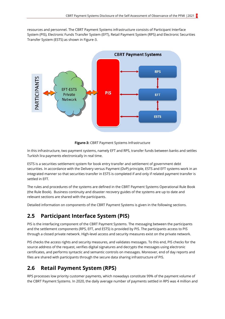resources and personnel. The CBRT Payment Systems infrastructure consists of Participant Interface System (PIS), Electronic Funds Transfer System (EFT), Retail Payment System (RPS) and Electronic Securities Transfer System (ESTS) as shown in Figure-3.



**Figure-3:** CBRT Payment Systems Infrastructure

In this infrastructure, two payment systems, namely EFT and RPS, transfer funds between banks and settles Turkish lira payments electronically in real time.

ESTS is a securities settlement system for book entry transfer and settlement of government debt securities. In accordance with the Delivery versus Payment (DvP) principle, ESTS and EFT systems work in an integrated manner so that securities transfer in ESTS is completed if and only if related payment transfer is settled in EFT.

The rules and procedures of the systems are defined in the CBRT Payment Systems Operational Rule Book (the Rule Book). Business continuity and disaster recovery guides of the systems are up to date and relevant sections are shared with the participants.

Detailed information on components of the CBRT Payment Systems is given in the following sections.

#### <span id="page-9-0"></span>**2.5 Participant Interface System (PIS)**

PIS is the interfacing component of the CBRT Payment Systems. The messaging between the participants and the settlement components (RPS, EFT, and ESTS) is provided by PIS. The participants access to PIS through a closed private network. High-level access and security measures exist on the private network.

PIS checks the access rights and security measures, and validates messages. To this end, PIS checks for the source address of the request, verifies digital signatures and decrypts the messages using electronic certificates, and performs syntactic and semantic controls on messages. Moreover, end of day reports and files are shared with participants through the secure data sharing infrastructure of PIS.

#### <span id="page-9-1"></span>**2.6 Retail Payment System (RPS)**

RPS processes low priority customer payments, which nowadays constitute 99% of the payment volume of the CBRT Payment Systems. In 2020, the daily average number of payments settled in RPS was 4 million and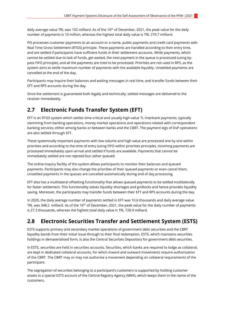daily average value TRL was 102 milliard. As of the 16<sup>th</sup> of December, 2021, the peak value for the daily number of payments is 10 million, whereas the highest total daily value is TRL 279.7 milliard.

PIS processes customer payments to an account or a name, public payments and credit card payments with Real Time Gross Settlement (RTGS) principle. These payments are handled according to their entry time, and are settled if participants have sufficient funds in their settlement accounts. While payments, which cannot be settled due to lack of funds, get waited, the next payment in the queue is processed (using bypass FIFO principle), and all the payments are tried to be processed. Priorities are not used in RPS, as the system aims to settle maximum number of payments with the available liquidity. Unsettled payments are cancelled at the end of the day.

Participants may inquire their balances and waiting messages in real time, and transfer funds between their EFT and RPS accounts during the day.

Since the settlement is guaranteed both legally and technically, settled messages are delivered to the receiver immediately.

#### <span id="page-10-0"></span>**2.7 Electronic Funds Transfer System (EFT)**

EFT is an RTGS system which settles time-critical and usually high-value TL interbank payments, typically stemming from banking operations, money market operations and operations related with correspondent banking services, either among banks or between banks and the CBRT. The payment legs of DvP operations are also settled through EFT.

These systemically important payments with low volume and high value are processed one by one within priorities and according to the time of entry (using FIFO within priorities principle). Incoming payments are processed immediately upon arrival and settled if funds are available. Payments that cannot be immediately settled are not rejected but rather queued.

The online-inquiry facility of the system allows participants to monitor their balances and queued payments. Participants may also change the priorities of their queued payments or even cancel them. Unsettled payments in the queues are cancelled automatically during end of day processing.

EFT also has a multilateral offsetting functionality that allows queued payments to be settled multilaterally for faster settlement. This functionality solves liquidity shortages and gridlocks and hence provides liquidity saving. Moreover, the participants may transfer funds between their EFT and RPS accounts during the day.

In 2020, the daily average number of payments settled in EFT was 10.6 thousands and daily average value TRL was 348.2 milliard. As of the 16<sup>th</sup> of December, 2021, the peak value for the daily number of payments is 27.3 thousands, whereas the highest total daily value is TRL 728.9 milliard.

#### <span id="page-10-1"></span>**2.8 Electronic Securities Transfer and Settlement System (ESTS)**

ESTS supports primary and secondary market operations of government debt securities and the CBRT liquidity bonds from their initial issue through to their final redemption. ESTS, which maintains securities holdings in dematerialised form, is also the Central Securities Depository for government debt securities.

In ESTS, securities are held in securities accounts. Securities, which banks are required to lodge as collateral, are kept in dedicated collateral accounts, for which inward and outward movements require authorisation of the CBRT. The CBRT may or may not authorise a movement depending on collateral requirements of the participant.

The segregation of securities belonging to a participant's customers is supported by holding customer assets in a special ESTS account of the Central Registry Agency (MKK), which keeps them in the name of the customers.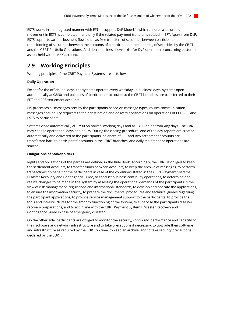ESTS works in an integrated manner with EFT to support DvP Model 1, which ensures a securities movement in ESTS is completed if and only if the related payment transfer is settled in EFT. Apart from DvP, ESTS supports various business flows such as free transfers of securities between participants, repositioning of securities between the accounts of a participant, direct debiting of securities by the CBRT, and the CBRT Portfolio Operations. Additional business flows exist for DvP operations concerning customer assets held within MKK account.

#### <span id="page-11-0"></span>**2.9 Working Principles**

Working principles of the CBRT Payment Systems are as follows:

#### **Daily Operation**

Except for the official holidays, the systems operate every weekday. In business days, systems open automatically at 08:30 and balances of participants' accounts at the CBRT branches are transferred to their EFT and RPS settlement accounts.

PIS processes all messages sent by the participants based on message types, routes communication messages and inquiry requests to their destination and delivers notifications on operations of EFT, RPS and ESTS to participants.

Systems close automatically at 17:30 on normal working days and at 13:00 on half working days. The CBRT may change operational days and hours. During the closing procedure, end of the day reports are created automatically and delivered to the participants, balances of EFT and RPS settlement accounts are transferred back to participants' accounts in the CBRT branches, and daily maintenance operations are started.

#### **Obligations of Stakeholders**

Rights and obligations of the parties are defined in the Rule Book. Accordingly, the CBRT is obliged to keep the settlement accounts, to transfer funds between accounts, to keep the archive of messages, to perform transactions on behalf of the participants in case of the conditions stated in the CBRT Payment Systems Disaster Recovery and Contingency Guide, to conduct business continuity operations, to determine and realize changes to be made in the system by assessing the operational demands of the participants in the view of risk management, regulations and international standards, to develop and operate the applications, to ensure the information security, to prepare the documents, procedures and technical guides regarding the participant applications, to provide service management support to the participants, to provide the tools and infrastructures for the smooth functioning of the system, to supervise the participants disaster recovery preparations, and to act in line with the CBRT Payment Systems Disaster Recovery and Contingency Guide in case of emergency disaster.

On the other side, participants are obliged to monitor the security, continuity, performance and capacity of their software and network infrastructure and to take precautions if necessary, to upgrade their software and infrastructure as required by the CBRT on time, to keep an archive, and to take security precautions declared by the CBRT.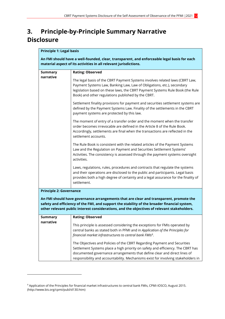### <span id="page-12-0"></span>**3. Principle-by-Principle Summary Narrative Disclosure**

| <b>Principle 1: Legal basis</b><br>An FMI should have a well-founded, clear, transparent, and enforceable legal basis for each                                                                                                                                                        |                                                                                                                                                                                                                                                                                                                              |  |
|---------------------------------------------------------------------------------------------------------------------------------------------------------------------------------------------------------------------------------------------------------------------------------------|------------------------------------------------------------------------------------------------------------------------------------------------------------------------------------------------------------------------------------------------------------------------------------------------------------------------------|--|
|                                                                                                                                                                                                                                                                                       | material aspect of its activities in all relevant jurisdictions.                                                                                                                                                                                                                                                             |  |
| <b>Summary</b>                                                                                                                                                                                                                                                                        | <b>Rating: Observed</b>                                                                                                                                                                                                                                                                                                      |  |
| narrative                                                                                                                                                                                                                                                                             | The legal basis of the CBRT Payment Systems involves related laws (CBRT Law,<br>Payment Systems Law, Banking Law, Law of Obligations, etc.), secondary<br>legislation based on these laws, the CBRT Payment Systems Rule Book (the Rule<br>Book) and other regulations published by the CBRT.                                |  |
|                                                                                                                                                                                                                                                                                       | Settlement finality provisions for payment and securities settlement systems are<br>defined by the Payment Systems Law. Finality of the settlements in the CBRT<br>payment systems are protected by this law.                                                                                                                |  |
|                                                                                                                                                                                                                                                                                       | The moment of entry of a transfer order and the moment when the transfer<br>order becomes irrevocable are defined in the Article 8 of the Rule Book.<br>Accordingly, settlements are final when the transactions are reflected in the<br>settlement accounts.                                                                |  |
|                                                                                                                                                                                                                                                                                       | The Rule Book is consistent with the related articles of the Payment Systems<br>Law and the Regulation on Payment and Securities Settlement Systems'<br>Activities. The consistency is assessed through the payment systems oversight<br>activities.                                                                         |  |
|                                                                                                                                                                                                                                                                                       | Laws, regulations, rules, procedures and contracts that regulate the systems<br>and their operations are disclosed to the public and participants. Legal basis<br>provides both a high degree of certainty and a legal assurance for the finality of<br>settlement.                                                          |  |
| <b>Principle 2: Governance</b>                                                                                                                                                                                                                                                        |                                                                                                                                                                                                                                                                                                                              |  |
| An FMI should have governance arrangements that are clear and transparent, promote the<br>safety and efficiency of the FMI, and support the stability of the broader financial system,<br>other relevant public interest considerations, and the objectives of relevant stakeholders. |                                                                                                                                                                                                                                                                                                                              |  |
| <b>Summary</b>                                                                                                                                                                                                                                                                        | <b>Rating: Observed</b>                                                                                                                                                                                                                                                                                                      |  |
| narrative                                                                                                                                                                                                                                                                             | This principle is assessed considering the exceptions for FMIs operated by<br>central banks as stated both in PFMI and in Application of the Principles for<br>financial market infrastructures to central bank FMIs <sup>9</sup> .                                                                                          |  |
|                                                                                                                                                                                                                                                                                       | The Objectives and Policies of the CBRT Regarding Payment and Securities<br>Settlement Systems place a high priority on safety and efficiency. The CBRT has<br>documented governance arrangements that define clear and direct lines of<br>responsibility and accountability. Mechanisms exist for involving stakeholders in |  |

-

<sup>9</sup> Application of the Principles for financial market infrastructures to central bank FMIs, CPMI-IOSCO, August 2015. (http://www.bis.org/cpmi/publ/d130.htm)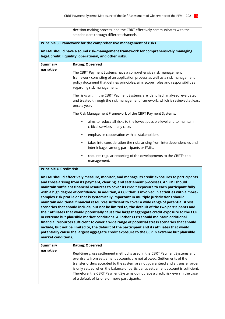|                                 | decision-making process, and the CBRT effectively communicates with the<br>stakeholders through different channels.                                                                                                                                           |
|---------------------------------|---------------------------------------------------------------------------------------------------------------------------------------------------------------------------------------------------------------------------------------------------------------|
|                                 | Principle 3: Framework for the comprehensive management of risks<br>An FMI should have a sound risk-management framework for comprehensively managing<br>legal, credit, liquidity, operational, and other risks.                                              |
| <b>Summary</b>                  | <b>Rating: Observed</b>                                                                                                                                                                                                                                       |
| narrative                       | The CBRT Payment Systems have a comprehensive risk management<br>framework consisting of an application process as well as a risk management<br>policy document that defines principles, aim, scope, roles and responsibilities<br>regarding risk management. |
|                                 | The risks within the CBRT Payment Systems are identified, analysed, evaluated<br>and treated through the risk management framework, which is reviewed at least<br>once a year.                                                                                |
|                                 | The Risk Management Framework of the CBRT Payment Systems:                                                                                                                                                                                                    |
|                                 | aims to reduce all risks to the lowest possible level and to maintain<br>critical services in any case,                                                                                                                                                       |
|                                 | emphasise cooperation with all stakeholders,                                                                                                                                                                                                                  |
|                                 | takes into consideration the risks arising from interdependencies and<br>interlinkages among participants or FMI's,                                                                                                                                           |
|                                 | requires regular reporting of the developments to the CBRT's top<br>٠<br>management.                                                                                                                                                                          |
| <b>Principle 4: Credit risk</b> |                                                                                                                                                                                                                                                               |

**An FMI should effectively measure, monitor, and manage its credit exposures to participants and those arising from its payment, clearing, and settlement processes. An FMI should maintain sufficient financial resources to cover its credit exposure to each participant fully with a high degree of confidence. In addition, a CCP that is involved in activities with a morecomplex risk profile or that is systemically important in multiple jurisdictions should maintain additional financial resources sufficient to cover a wide range of potential stress scenarios that should include, but not be limited to, the default of the two participants and their affiliates that would potentially cause the largest aggregate credit exposure to the CCP in extreme but plausible market conditions. All other CCPs should maintain additional financial resources sufficient to cover a wide range of potential stress scenarios that should include, but not be limited to, the default of the participant and its affiliates that would potentially cause the largest aggregate credit exposure to the CCP in extreme but plausible market conditions.** 

| <b>Summary</b> | <b>Rating: Observed</b>                                                                                                                                                                                                                                                                                                                                                                                                                                          |
|----------------|------------------------------------------------------------------------------------------------------------------------------------------------------------------------------------------------------------------------------------------------------------------------------------------------------------------------------------------------------------------------------------------------------------------------------------------------------------------|
| narrative      | Real-time gross settlement method is used in the CBRT Payment Systems and<br>overdrafts from settlement accounts are not allowed. Settlements of the<br>transfer orders accepted to the system are not guaranteed and a transfer order<br>is only settled when the balance of participant's settlement account is sufficient.<br>Therefore, the CBRT Payment Systems do not face a credit risk even in the case<br>of a default of its one or more participants. |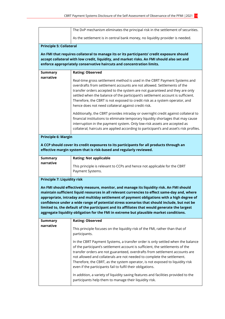|                                                                                                                                                                                                                                                                                                                                                                                                                                                                                                                                                                                   | The DvP mechanism eliminates the principal risk in the settlement of securities.                                                                                                                                                                                                                                                                                                                                                                                        |  |
|-----------------------------------------------------------------------------------------------------------------------------------------------------------------------------------------------------------------------------------------------------------------------------------------------------------------------------------------------------------------------------------------------------------------------------------------------------------------------------------------------------------------------------------------------------------------------------------|-------------------------------------------------------------------------------------------------------------------------------------------------------------------------------------------------------------------------------------------------------------------------------------------------------------------------------------------------------------------------------------------------------------------------------------------------------------------------|--|
|                                                                                                                                                                                                                                                                                                                                                                                                                                                                                                                                                                                   | As the settlement is in central bank money, no liquidity provider is needed.                                                                                                                                                                                                                                                                                                                                                                                            |  |
| <b>Principle 5: Collateral</b>                                                                                                                                                                                                                                                                                                                                                                                                                                                                                                                                                    |                                                                                                                                                                                                                                                                                                                                                                                                                                                                         |  |
| An FMI that requires collateral to manage its or its participants' credit exposure should<br>accept collateral with low credit, liquidity, and market risks. An FMI should also set and<br>enforce appropriately conservative haircuts and concentration limits.                                                                                                                                                                                                                                                                                                                  |                                                                                                                                                                                                                                                                                                                                                                                                                                                                         |  |
| <b>Summary</b><br>narrative                                                                                                                                                                                                                                                                                                                                                                                                                                                                                                                                                       | <b>Rating: Observed</b>                                                                                                                                                                                                                                                                                                                                                                                                                                                 |  |
|                                                                                                                                                                                                                                                                                                                                                                                                                                                                                                                                                                                   | Real-time gross settlement method is used in the CBRT Payment Systems and<br>overdrafts from settlement accounts are not allowed. Settlements of the<br>transfer orders accepted to the system are not guaranteed and they are only<br>settled when the balance of the participant's settlement account is sufficient.<br>Therefore, the CBRT is not exposed to credit risk as a system operator, and<br>hence does not need collateral against credit risk.            |  |
|                                                                                                                                                                                                                                                                                                                                                                                                                                                                                                                                                                                   | Additionally, the CBRT provides intraday or overnight credit against collateral to<br>financial institutions to eliminate temporary liquidity shortages that may cause<br>interruption in the payment system. Only low-risk assets are accepted as<br>collateral; haircuts are applied according to participant's and asset's risk profiles.                                                                                                                            |  |
| <b>Principle 6: Margin</b>                                                                                                                                                                                                                                                                                                                                                                                                                                                                                                                                                        |                                                                                                                                                                                                                                                                                                                                                                                                                                                                         |  |
| A CCP should cover its credit exposures to its participants for all products through an<br>effective margin system that is risk-based and regularly reviewed.                                                                                                                                                                                                                                                                                                                                                                                                                     |                                                                                                                                                                                                                                                                                                                                                                                                                                                                         |  |
| <b>Summary</b><br>narrative                                                                                                                                                                                                                                                                                                                                                                                                                                                                                                                                                       | <b>Rating: Not applicable</b>                                                                                                                                                                                                                                                                                                                                                                                                                                           |  |
|                                                                                                                                                                                                                                                                                                                                                                                                                                                                                                                                                                                   | This principle is relevant to CCPs and hence not applicable for the CBRT<br>Payment Systems.                                                                                                                                                                                                                                                                                                                                                                            |  |
| <b>Principle 7: Liquidity risk</b>                                                                                                                                                                                                                                                                                                                                                                                                                                                                                                                                                |                                                                                                                                                                                                                                                                                                                                                                                                                                                                         |  |
| An FMI should effectively measure, monitor, and manage its liquidity risk. An FMI should<br>maintain sufficient liquid resources in all relevant currencies to effect same-day and, where<br>appropriate, intraday and multiday settlement of payment obligations with a high degree of<br>confidence under a wide range of potential stress scenarios that should include, but not be<br>limited to, the default of the participant and its affiliates that would generate the largest<br>aggregate liquidity obligation for the FMI in extreme but plausible market conditions. |                                                                                                                                                                                                                                                                                                                                                                                                                                                                         |  |
| <b>Summary</b><br>narrative                                                                                                                                                                                                                                                                                                                                                                                                                                                                                                                                                       | <b>Rating: Observed</b>                                                                                                                                                                                                                                                                                                                                                                                                                                                 |  |
|                                                                                                                                                                                                                                                                                                                                                                                                                                                                                                                                                                                   | This principle focuses on the liquidity risk of the FMI, rather than that of<br>participants.                                                                                                                                                                                                                                                                                                                                                                           |  |
|                                                                                                                                                                                                                                                                                                                                                                                                                                                                                                                                                                                   | In the CBRT Payment Systems, a transfer order is only settled when the balance<br>of the participant's settlement account is sufficient, the settlements of the<br>transfer orders are not guaranteed, overdrafts from settlement accounts are<br>not allowed and collaterals are not needed to complete the settlement.<br>Therefore, the CBRT, as the system operator, is not exposed to liquidity risk<br>even if the participants fail to fulfil their obligations. |  |
|                                                                                                                                                                                                                                                                                                                                                                                                                                                                                                                                                                                   | In addition, a variety of liquidity saving features and facilities provided to the                                                                                                                                                                                                                                                                                                                                                                                      |  |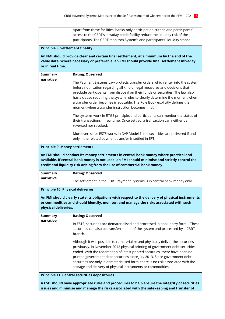|                                                                                                                                                                                                                                                                    | Apart from these facilities, banks-only participation criteria and participants'                                                                                                                                                                                                                                                                                                                                                                                 |  |
|--------------------------------------------------------------------------------------------------------------------------------------------------------------------------------------------------------------------------------------------------------------------|------------------------------------------------------------------------------------------------------------------------------------------------------------------------------------------------------------------------------------------------------------------------------------------------------------------------------------------------------------------------------------------------------------------------------------------------------------------|--|
|                                                                                                                                                                                                                                                                    | access to the CBRT's intraday credit facility reduce the liquidity risk of the<br>participants. The CBRT monitors System's and participants' liquidity stance.                                                                                                                                                                                                                                                                                                   |  |
|                                                                                                                                                                                                                                                                    |                                                                                                                                                                                                                                                                                                                                                                                                                                                                  |  |
| <b>Principle 8: Settlement finality</b>                                                                                                                                                                                                                            |                                                                                                                                                                                                                                                                                                                                                                                                                                                                  |  |
| or in real time.                                                                                                                                                                                                                                                   | An FMI should provide clear and certain final settlement, at a minimum by the end of the<br>value date. Where necessary or preferable, an FMI should provide final settlement intraday                                                                                                                                                                                                                                                                           |  |
| <b>Summary</b>                                                                                                                                                                                                                                                     | <b>Rating: Observed</b>                                                                                                                                                                                                                                                                                                                                                                                                                                          |  |
| narrative                                                                                                                                                                                                                                                          | The Payment Systems Law protects transfer orders which enter into the system<br>before notification regarding all kind of legal measures and decisions that<br>preclude participants from disposal on their funds or securities. The law also<br>has a clause requiring the system rules to clearly determine the moment when<br>a transfer order becomes irrevocable. The Rule Book explicitly defines the<br>moment when a transfer instruction becomes final. |  |
|                                                                                                                                                                                                                                                                    | The systems work in RTGS principle, and participants can monitor the status of<br>their transactions in real-time. Once settled, a transaction can neither be<br>reversed nor revoked.                                                                                                                                                                                                                                                                           |  |
|                                                                                                                                                                                                                                                                    | Moreover, since ESTS works in DvP Model 1, the securities are delivered if and<br>only if the related payment transfer is settled in EFT.                                                                                                                                                                                                                                                                                                                        |  |
| <b>Principle 9: Money settlements</b>                                                                                                                                                                                                                              |                                                                                                                                                                                                                                                                                                                                                                                                                                                                  |  |
| An FMI should conduct its money settlements in central bank money where practical and<br>available. If central bank money is not used, an FMI should minimise and strictly control the<br>credit and liquidity risk arising from the use of commercial bank money. |                                                                                                                                                                                                                                                                                                                                                                                                                                                                  |  |
| <b>Summary</b>                                                                                                                                                                                                                                                     | <b>Rating: Observed</b>                                                                                                                                                                                                                                                                                                                                                                                                                                          |  |
| narrative                                                                                                                                                                                                                                                          | The settlement in the CBRT Payment Systems is in central bank money only.                                                                                                                                                                                                                                                                                                                                                                                        |  |
| <b>Principle 10: Physical deliveries</b>                                                                                                                                                                                                                           |                                                                                                                                                                                                                                                                                                                                                                                                                                                                  |  |
| An FMI should clearly state its obligations with respect to the delivery of physical instruments<br>or commodities and should identify, monitor, and manage the risks associated with such<br>physical deliveries.                                                 |                                                                                                                                                                                                                                                                                                                                                                                                                                                                  |  |
| <b>Summary</b>                                                                                                                                                                                                                                                     | <b>Rating: Observed</b>                                                                                                                                                                                                                                                                                                                                                                                                                                          |  |
| narrative                                                                                                                                                                                                                                                          | In ESTS, securities are dematerialised and processed in book-entry form. . These<br>securities can also be transferred out of the system and processed by a CBRT<br>branch.                                                                                                                                                                                                                                                                                      |  |
|                                                                                                                                                                                                                                                                    | Although it was possible to rematerialize and physically deliver the securities<br>previously, in November 2012 physical printing of government debt securities<br>ended. With the redemption of latest printed securities, there have been no<br>printed government debt securities since July 2013. Since government debt<br>securities are only in dematerialised form, there is no risk associated with the                                                  |  |
|                                                                                                                                                                                                                                                                    | storage and delivery of physical instruments or commodities.                                                                                                                                                                                                                                                                                                                                                                                                     |  |
|                                                                                                                                                                                                                                                                    | <b>Principle 11: Central securities depositories</b>                                                                                                                                                                                                                                                                                                                                                                                                             |  |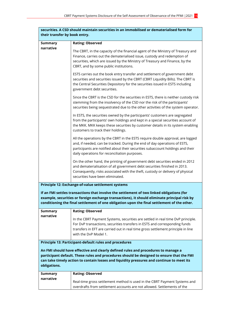| securities. A CSD should maintain securities in an immobilised or dematerialised form for<br>their transfer by book entry.                                                                                                                                                                  |                                                                                                                                                                                                                                                                                                |  |
|---------------------------------------------------------------------------------------------------------------------------------------------------------------------------------------------------------------------------------------------------------------------------------------------|------------------------------------------------------------------------------------------------------------------------------------------------------------------------------------------------------------------------------------------------------------------------------------------------|--|
| <b>Summary</b>                                                                                                                                                                                                                                                                              | <b>Rating: Observed</b>                                                                                                                                                                                                                                                                        |  |
| narrative                                                                                                                                                                                                                                                                                   | The CBRT, in the capacity of the financial agent of the Ministry of Treasury and<br>Finance, carries out the dematerialised issue, custody and redemption of<br>securities, which are issued by the Ministry of Treasury and Finance, by the<br>CBRT, and by some public institutions.         |  |
|                                                                                                                                                                                                                                                                                             | ESTS carries out the book entry transfer and settlement of government debt<br>securities and securities issued by the CBRT (CBRT Liquidity Bills). The CBRT is<br>the Central Securities Depository for the securities issued in ESTS including<br>government debt securities.                 |  |
|                                                                                                                                                                                                                                                                                             | Since the CBRT is the CSD for the securities in ESTS, there is neither custody risk<br>stemming from the insolvency of the CSD nor the risk of the participants'<br>securities being sequestrated due to the other activities of the system operator.                                          |  |
|                                                                                                                                                                                                                                                                                             | In ESTS, the securities owned by the participants' customers are segregated<br>from the participants' own holdings and kept in a special securities account of<br>the MKK. MKK keeps these securities by customer details in its system enabling<br>customers to track their holdings.         |  |
|                                                                                                                                                                                                                                                                                             | All the operations by the CBRT in the ESTS require double approval, are logged<br>and, if needed, can be tracked. During the end of day operations of ESTS,<br>participants are notified about their securities subaccount holdings and their<br>daily operations for reconciliation purposes. |  |
|                                                                                                                                                                                                                                                                                             | On the other hand, the printing of government debt securities ended in 2012<br>and dematerialisation of all government debt securities finished in 2013.<br>Consequently, risks associated with the theft, custody or delivery of physical<br>securities have been eliminated.                 |  |
|                                                                                                                                                                                                                                                                                             | Principle 12: Exchange-of-value settlement systems                                                                                                                                                                                                                                             |  |
| If an FMI settles transactions that involve the settlement of two linked obligations (for<br>example, securities or foreign exchange transactions), it should eliminate principal risk by<br>conditioning the final settlement of one obligation upon the final settlement of the other.    |                                                                                                                                                                                                                                                                                                |  |
| <b>Summary</b><br>narrative                                                                                                                                                                                                                                                                 | <b>Rating: Observed</b>                                                                                                                                                                                                                                                                        |  |
|                                                                                                                                                                                                                                                                                             | In the CBRT Payment Systems, securities are settled in real time DvP principle.<br>For DvP transactions, securities transfers in ESTS and corresponding funds<br>transfers in EFT are carried out in real time gross settlement principle in line<br>with the DvP Model 1.                     |  |
| Principle 13: Participant-default rules and procedures                                                                                                                                                                                                                                      |                                                                                                                                                                                                                                                                                                |  |
| An FMI should have effective and clearly defined rules and procedures to manage a<br>participant default. These rules and procedures should be designed to ensure that the FMI<br>can take timely action to contain losses and liquidity pressures and continue to meet its<br>obligations. |                                                                                                                                                                                                                                                                                                |  |
| <b>Summary</b>                                                                                                                                                                                                                                                                              | <b>Rating: Observed</b>                                                                                                                                                                                                                                                                        |  |
| narrative                                                                                                                                                                                                                                                                                   | Real-time gross settlement method is used in the CBRT Payment Systems and<br>overdrafts from settlement accounts are not allowed. Settlements of the                                                                                                                                           |  |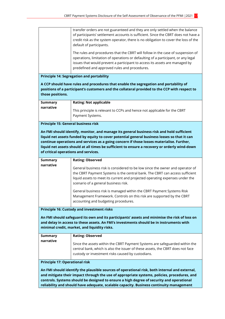|                                                                                                                                                                                                                                                                                                                                    | transfer orders are not guaranteed and they are only settled when the balance<br>of participants' settlement accounts is sufficient. Since the CBRT does not have a<br>credit risk as the system operator, there is no obligation to cover the loss of the<br>default of participants.               |  |
|------------------------------------------------------------------------------------------------------------------------------------------------------------------------------------------------------------------------------------------------------------------------------------------------------------------------------------|------------------------------------------------------------------------------------------------------------------------------------------------------------------------------------------------------------------------------------------------------------------------------------------------------|--|
|                                                                                                                                                                                                                                                                                                                                    | The rules and procedures that the CBRT will follow in the case of suspension of<br>operations, limitation of operations or defaulting of a participant, or any legal<br>issues that would prevent a participant to access its assets are managed by<br>predefined and approved rules and procedures. |  |
|                                                                                                                                                                                                                                                                                                                                    | <b>Principle 14: Segregation and portability</b>                                                                                                                                                                                                                                                     |  |
| those positions.                                                                                                                                                                                                                                                                                                                   | A CCP should have rules and procedures that enable the segregation and portability of<br>positions of a participant's customers and the collateral provided to the CCP with respect to                                                                                                               |  |
| <b>Summary</b>                                                                                                                                                                                                                                                                                                                     | <b>Rating: Not applicable</b>                                                                                                                                                                                                                                                                        |  |
| narrative                                                                                                                                                                                                                                                                                                                          | This principle is relevant to CCPs and hence not applicable for the CBRT<br>Payment Systems.                                                                                                                                                                                                         |  |
| <b>Summary</b><br>narrative                                                                                                                                                                                                                                                                                                        | <b>Rating: Observed</b>                                                                                                                                                                                                                                                                              |  |
| liquid net assets funded by equity to cover potential general business losses so that it can<br>continue operations and services as a going concern if those losses materialise. Further,<br>liquid net assets should at all times be sufficient to ensure a recovery or orderly wind-down<br>of critical operations and services. |                                                                                                                                                                                                                                                                                                      |  |
|                                                                                                                                                                                                                                                                                                                                    | General business risk is considered to be low since the owner and operator of<br>the CBRT Payment Systems is the central bank. The CBRT can access sufficient<br>liquid assets to meet its current and projected operating expenses under the<br>scenario of a general business risk.                |  |
|                                                                                                                                                                                                                                                                                                                                    | General business risk is managed within the CBRT Payment Systems Risk<br>Management Framework. Controls on this risk are supported by the CBRT<br>accounting and budgeting procedures.                                                                                                               |  |
|                                                                                                                                                                                                                                                                                                                                    | <b>Principle 16: Custody and investment risks</b>                                                                                                                                                                                                                                                    |  |
|                                                                                                                                                                                                                                                                                                                                    | An FMI should safeguard its own and its participants' assets and minimise the risk of loss on<br>and delay in access to these assets. An FMI's investments should be in instruments with<br>minimal credit, market, and liquidity risks.                                                             |  |
| <b>Summary</b>                                                                                                                                                                                                                                                                                                                     | <b>Rating: Observed</b>                                                                                                                                                                                                                                                                              |  |
| narrative                                                                                                                                                                                                                                                                                                                          | Since the assets within the CBRT Payment Systems are safeguarded within the<br>central bank, which is also the issuer of these assets, the CBRT does not face<br>custody or investment risks caused by custodians.                                                                                   |  |
| <b>Principle 17: Operational risk</b>                                                                                                                                                                                                                                                                                              |                                                                                                                                                                                                                                                                                                      |  |
|                                                                                                                                                                                                                                                                                                                                    | An FMI should identify the plausible sources of operational risk, both internal and external,<br>and mitigate their impact through the use of appropriate systems, policies, procedures, and<br>controls. Systems should be designed to ensure a high degree of security and operational             |  |

**reliability and should have adequate, scalable capacity. Business continuity management**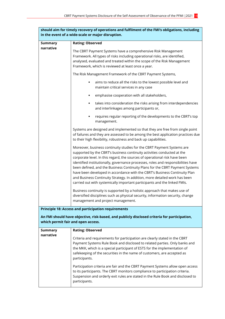| should aim for timely recovery of operations and fulfilment of the FMI's obligations, including                                    |                                                                                                                                                                                                                                                                                                                                                                                                                                                                                                                                                                                                                                               |  |
|------------------------------------------------------------------------------------------------------------------------------------|-----------------------------------------------------------------------------------------------------------------------------------------------------------------------------------------------------------------------------------------------------------------------------------------------------------------------------------------------------------------------------------------------------------------------------------------------------------------------------------------------------------------------------------------------------------------------------------------------------------------------------------------------|--|
| in the event of a wide-scale or major disruption.                                                                                  |                                                                                                                                                                                                                                                                                                                                                                                                                                                                                                                                                                                                                                               |  |
| <b>Summary</b>                                                                                                                     | <b>Rating: Observed</b>                                                                                                                                                                                                                                                                                                                                                                                                                                                                                                                                                                                                                       |  |
| narrative                                                                                                                          | The CBRT Payment Systems have a comprehensive Risk Management<br>Framework. All types of risks including operational risks, are identified,<br>analysed, evaluated and treated within the scope of the Risk Management<br>Framework, which is reviewed at least once a year.                                                                                                                                                                                                                                                                                                                                                                  |  |
|                                                                                                                                    | The Risk Management Framework of the CBRT Payment Systems,                                                                                                                                                                                                                                                                                                                                                                                                                                                                                                                                                                                    |  |
|                                                                                                                                    | aims to reduce all the risks to the lowest possible level and<br>٠<br>maintain critical services in any case                                                                                                                                                                                                                                                                                                                                                                                                                                                                                                                                  |  |
|                                                                                                                                    | emphasise cooperation with all stakeholders,                                                                                                                                                                                                                                                                                                                                                                                                                                                                                                                                                                                                  |  |
|                                                                                                                                    | takes into consideration the risks arising from interdependencies<br>٠<br>and interlinkages among participants or,                                                                                                                                                                                                                                                                                                                                                                                                                                                                                                                            |  |
|                                                                                                                                    | requires regular reporting of the developments to the CBRT's top<br>٠<br>management.                                                                                                                                                                                                                                                                                                                                                                                                                                                                                                                                                          |  |
|                                                                                                                                    | Systems are designed and implemented so that they are free from single point<br>of failures and they are assessed to be among the best application practices due<br>to their high flexibility, robustness and back up capabilities.                                                                                                                                                                                                                                                                                                                                                                                                           |  |
|                                                                                                                                    | Moreover, business continuity studies for the CBRT Payment Systems are<br>supported by the CBRT's business continuity activities conducted at the<br>corporate level. In this regard, the sources of operational risk have been<br>identified institutionally, governance processes, roles and responsibilities have<br>been defined, and the Business Continuity Plans for the CBRT Payment Systems<br>have been developed in accordance with the CBRT's Business Continuity Plan<br>and Business Continuity Strategy. In addition, more detailed work has been<br>carried out with systemically important participants and the linked FMIs. |  |
|                                                                                                                                    | Business continuity is supported by a holistic approach that makes use of<br>diversified disciplines such as physical security, information security, change<br>management and project management.                                                                                                                                                                                                                                                                                                                                                                                                                                            |  |
| <b>Principle 18: Access and participation requirements</b>                                                                         |                                                                                                                                                                                                                                                                                                                                                                                                                                                                                                                                                                                                                                               |  |
| An FMI should have objective, risk-based, and publicly disclosed criteria for participation,<br>which permit fair and open access. |                                                                                                                                                                                                                                                                                                                                                                                                                                                                                                                                                                                                                                               |  |
| <b>Summary</b>                                                                                                                     | <b>Rating: Observed</b>                                                                                                                                                                                                                                                                                                                                                                                                                                                                                                                                                                                                                       |  |
| narrative                                                                                                                          | Criteria and requirements for participation are clearly stated in the CBRT<br>Payment Systems Rule Book and disclosed to related parties. Only banks and                                                                                                                                                                                                                                                                                                                                                                                                                                                                                      |  |

the MKK, which is a special participant of ESTS for the implementation of safekeeping of the securities in the name of customers, are accepted as

Participation criteria are fair and the CBRT Payment Systems allow open access to its participants. The CBRT monitors compliance to participation criteria. Suspension and orderly exit rules are stated in the Rule Book and disclosed to

participants.

participants.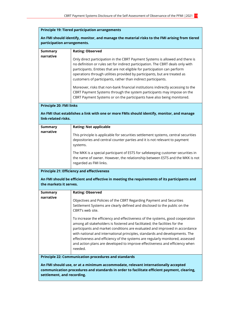| <b>Principle 19: Tiered participation arrangements</b>                                                                                                                                                        |                                                                                                                                                                                                                                                                                                                                                                                                                                                                                                      |  |
|---------------------------------------------------------------------------------------------------------------------------------------------------------------------------------------------------------------|------------------------------------------------------------------------------------------------------------------------------------------------------------------------------------------------------------------------------------------------------------------------------------------------------------------------------------------------------------------------------------------------------------------------------------------------------------------------------------------------------|--|
| An FMI should identify, monitor, and manage the material risks to the FMI arising from tiered<br>participation arrangements.                                                                                  |                                                                                                                                                                                                                                                                                                                                                                                                                                                                                                      |  |
| <b>Summary</b>                                                                                                                                                                                                | <b>Rating: Observed</b>                                                                                                                                                                                                                                                                                                                                                                                                                                                                              |  |
| narrative                                                                                                                                                                                                     | Only direct participation in the CBRT Payment Systems is allowed and there is<br>no definition or rules set for indirect participation. The CBRT deals only with<br>participants. Entities that are not eligible for participation can perform<br>operations through utilities provided by participants, but are treated as<br>customers of participants, rather than indirect participants.                                                                                                         |  |
|                                                                                                                                                                                                               | Moreover, risks that non-bank financial institutions indirectly accessing to the<br>CBRT Payment Systems through the system participants may impose on the<br>CBRT Payment Systems or on the participants have also being monitored.                                                                                                                                                                                                                                                                 |  |
| <b>Principle 20: FMI links</b>                                                                                                                                                                                |                                                                                                                                                                                                                                                                                                                                                                                                                                                                                                      |  |
| An FMI that establishes a link with one or more FMIs should identify, monitor, and manage<br>link-related risks.                                                                                              |                                                                                                                                                                                                                                                                                                                                                                                                                                                                                                      |  |
| <b>Summary</b><br>narrative                                                                                                                                                                                   | <b>Rating: Not applicable</b>                                                                                                                                                                                                                                                                                                                                                                                                                                                                        |  |
|                                                                                                                                                                                                               | This principle is applicable for securities settlement systems, central securities<br>depositories and central counter parties and it is not relevant to payment<br>systems.                                                                                                                                                                                                                                                                                                                         |  |
|                                                                                                                                                                                                               | The MKK is a special participant of ESTS for safekeeping customer securities in<br>the name of owner. However, the relationship between ESTS and the MKK is not<br>regarded as FMI links.                                                                                                                                                                                                                                                                                                            |  |
| <b>Principle 21: Efficiency and effectiveness</b>                                                                                                                                                             |                                                                                                                                                                                                                                                                                                                                                                                                                                                                                                      |  |
| An FMI should be efficient and effective in meeting the requirements of its participants and<br>the markets it serves.                                                                                        |                                                                                                                                                                                                                                                                                                                                                                                                                                                                                                      |  |
| Summary<br>narrative                                                                                                                                                                                          | <b>Rating: Observed</b>                                                                                                                                                                                                                                                                                                                                                                                                                                                                              |  |
|                                                                                                                                                                                                               | Objectives and Policies of the CBRT Regarding Payment and Securities<br>Settlement Systems are clearly defined and disclosed to the public on the<br>CBRT's web site.                                                                                                                                                                                                                                                                                                                                |  |
|                                                                                                                                                                                                               | To increase the efficiency and effectiveness of the systems, good cooperation<br>among all stakeholders is fostered and facilitated; the facilities for the<br>participants and market conditions are evaluated and improved in accordance<br>with national and international principles, standards and developments. The<br>effectiveness and efficiency of the systems are regularly monitored, assessed<br>and action plans are developed to improve effectiveness and efficiency when<br>needed. |  |
| <b>Principle 22: Communication procedures and standards</b>                                                                                                                                                   |                                                                                                                                                                                                                                                                                                                                                                                                                                                                                                      |  |
| An FMI should use, or at a minimum accommodate, relevant internationally accepted<br>communication procedures and standards in order to facilitate efficient payment, clearing,<br>settlement, and recording. |                                                                                                                                                                                                                                                                                                                                                                                                                                                                                                      |  |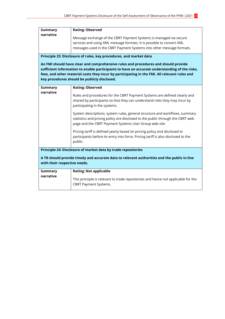| <b>Summary</b>                                                                                | <b>Rating: Observed</b>                                                                       |  |
|-----------------------------------------------------------------------------------------------|-----------------------------------------------------------------------------------------------|--|
| narrative                                                                                     |                                                                                               |  |
|                                                                                               | Message exchange of the CBRT Payment Systems is managed via secure                            |  |
|                                                                                               | services and using XML message formats. It is possible to convert XML                         |  |
|                                                                                               | messages used in the CBRT Payment Systems into other message formats.                         |  |
|                                                                                               |                                                                                               |  |
| Principle 23: Disclosure of rules, key procedures, and market data                            |                                                                                               |  |
| An FMI should have clear and comprehensive rules and procedures and should provide            |                                                                                               |  |
| sufficient information to enable participants to have an accurate understanding of the risks, |                                                                                               |  |
|                                                                                               | fees, and other material costs they incur by participating in the FMI. All relevant rules and |  |
| key procedures should be publicly disclosed.                                                  |                                                                                               |  |
|                                                                                               |                                                                                               |  |
| <b>Summary</b>                                                                                | <b>Rating: Observed</b>                                                                       |  |
| narrative                                                                                     |                                                                                               |  |
|                                                                                               | Rules and procedures for the CBRT Payment Systems are defined clearly and                     |  |
|                                                                                               | shared by participants so that they can understand risks they may incur by                    |  |
|                                                                                               | participating in the systems.                                                                 |  |
|                                                                                               | System descriptions, system rules, general structure and workflows, summary                   |  |
|                                                                                               | statistics and pricing policy are disclosed to the public through the CBRT web                |  |
|                                                                                               | page and the CBRT Payment Systems User Group web site.                                        |  |
|                                                                                               |                                                                                               |  |
|                                                                                               | Pricing tariff is defined yearly based on pricing policy and disclosed to                     |  |
|                                                                                               | participants before its entry into force. Pricing tariff is also disclosed to the             |  |
|                                                                                               | public.                                                                                       |  |
|                                                                                               |                                                                                               |  |
| Principle 24: Disclosure of market data by trade repositories                                 |                                                                                               |  |
| A TR should provide timely and accurate data to relevant authorities and the public in line   |                                                                                               |  |
| with their respective needs.                                                                  |                                                                                               |  |
|                                                                                               |                                                                                               |  |
| <b>Summary</b>                                                                                | <b>Rating: Not applicable</b>                                                                 |  |
| narrative                                                                                     |                                                                                               |  |
|                                                                                               | This principle is relevant to trade repositories and hence not applicable for the             |  |
|                                                                                               | <b>CBRT Payment Systems.</b>                                                                  |  |
|                                                                                               |                                                                                               |  |